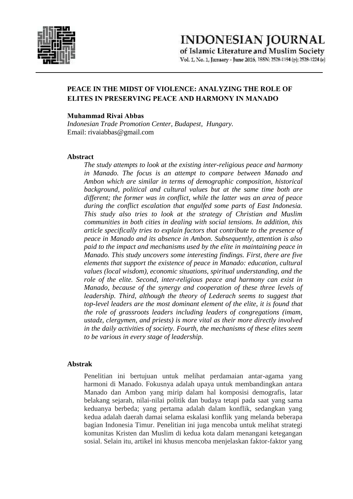

Vol. 1, No. 1, January - June 2016, ISSN: 2528-1194 (p): 2528-1224 (e)

# **PEACE IN THE MIDST OF VIOLENCE: ANALYZING THE ROLE OF ELITES IN PRESERVING PEACE AND HARMONY IN MANADO**

## **Muhammad Rivai Abbas**

*Indonesian Trade Promotion Center, Budapest, Hungary.* Email: rivaiabbas@gmail.com

# **Abstract**

*The study attempts to look at the existing inter-religious peace and harmony in Manado. The focus is an attempt to compare between Manado and Ambon which are similar in terms of demographic composition, historical background, political and cultural values but at the same time both are different; the former was in conflict, while the latter was an area of peace during the conflict escalation that engulfed some parts of East Indonesia. This study also tries to look at the strategy of Christian and Muslim communities in both cities in dealing with social tensions. In addition, this article specifically tries to explain factors that contribute to the presence of peace in Manado and its absence in Ambon. Subsequently, attention is also paid to the impact and mechanisms used by the elite in maintaining peace in Manado. This study uncovers some interesting findings. First, there are five elements that support the existence of peace in Manado: education, cultural values (local wisdom), economic situations, spiritual understanding, and the role of the elite. Second, inter-religious peace and harmony can exist in Manado, because of the synergy and cooperation of these three levels of leadership. Third, although the theory of Lederach seems to suggest that top-level leaders are the most dominant element of the elite, it is found that the role of grassroots leaders including leaders of congregations (imam, ustadz, clergymen, and priests) is more vital as their more directly involved in the daily activities of society. Fourth, the mechanisms of these elites seem to be various in every stage of leadership.*

# **Abstrak**

Penelitian ini bertujuan untuk melihat perdamaian antar-agama yang harmoni di Manado. Fokusnya adalah upaya untuk membandingkan antara Manado dan Ambon yang mirip dalam hal komposisi demografis, latar belakang sejarah, nilai-nilai politik dan budaya tetapi pada saat yang sama keduanya berbeda; yang pertama adalah dalam konflik, sedangkan yang kedua adalah daerah damai selama eskalasi konflik yang melanda beberapa bagian Indonesia Timur. Penelitian ini juga mencoba untuk melihat strategi komunitas Kristen dan Muslim di kedua kota dalam menangani ketegangan sosial. Selain itu, artikel ini khusus mencoba menjelaskan faktor-faktor yang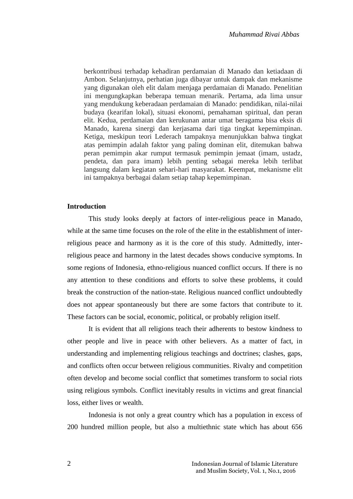berkontribusi terhadap kehadiran perdamaian di Manado dan ketiadaan di Ambon. Selanjutnya, perhatian juga dibayar untuk dampak dan mekanisme yang digunakan oleh elit dalam menjaga perdamaian di Manado. Penelitian ini mengungkapkan beberapa temuan menarik. Pertama, ada lima unsur yang mendukung keberadaan perdamaian di Manado: pendidikan, nilai-nilai budaya (kearifan lokal), situasi ekonomi, pemahaman spiritual, dan peran elit. Kedua, perdamaian dan kerukunan antar umat beragama bisa eksis di Manado, karena sinergi dan kerjasama dari tiga tingkat kepemimpinan. Ketiga, meskipun teori Lederach tampaknya menunjukkan bahwa tingkat atas pemimpin adalah faktor yang paling dominan elit, ditemukan bahwa peran pemimpin akar rumput termasuk pemimpin jemaat (imam, ustadz, pendeta, dan para imam) lebih penting sebagai mereka lebih terlibat langsung dalam kegiatan sehari-hari masyarakat. Keempat, mekanisme elit ini tampaknya berbagai dalam setiap tahap kepemimpinan.

#### **Introduction**

This study looks deeply at factors of inter-religious peace in Manado, while at the same time focuses on the role of the elite in the establishment of interreligious peace and harmony as it is the core of this study. Admittedly, interreligious peace and harmony in the latest decades shows conducive symptoms. In some regions of Indonesia, ethno-religious nuanced conflict occurs. If there is no any attention to these conditions and efforts to solve these problems, it could break the construction of the nation-state. Religious nuanced conflict undoubtedly does not appear spontaneously but there are some factors that contribute to it. These factors can be social, economic, political, or probably religion itself.

It is evident that all religions teach their adherents to bestow kindness to other people and live in peace with other believers. As a matter of fact, in understanding and implementing religious teachings and doctrines; clashes, gaps, and conflicts often occur between religious communities. Rivalry and competition often develop and become social conflict that sometimes transform to social riots using religious symbols. Conflict inevitably results in victims and great financial loss, either lives or wealth.

Indonesia is not only a great country which has a population in excess of 200 hundred million people, but also a multiethnic state which has about 656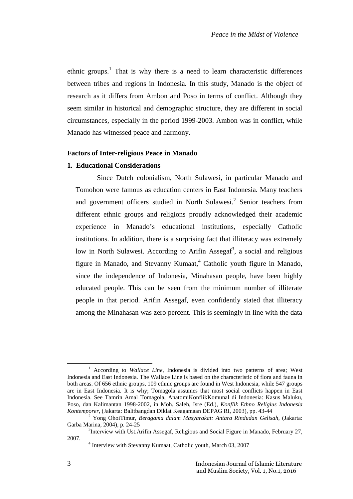ethnic groups.<sup>1</sup> That is why there is a need to learn characteristic differences between tribes and regions in Indonesia. In this study, Manado is the object of research as it differs from Ambon and Poso in terms of conflict. Although they seem similar in historical and demographic structure, they are different in social circumstances, especially in the period 1999-2003. Ambon was in conflict, while Manado has witnessed peace and harmony.

# **Factors of Inter-religious Peace in Manado**

# **1. Educational Considerations**

Since Dutch colonialism, North Sulawesi, in particular Manado and Tomohon were famous as education centers in East Indonesia. Many teachers and government officers studied in North Sulawesi.<sup>2</sup> Senior teachers from different ethnic groups and religions proudly acknowledged their academic experience in Manado's educational institutions, especially Catholic institutions. In addition, there is a surprising fact that illiteracy was extremely low in North Sulawesi. According to Arifin Assegaf<sup>3</sup>, a social and religious figure in Manado, and Stevanny Kumaat,  $4$  Catholic youth figure in Manado, since the independence of Indonesia, Minahasan people, have been highly educated people. This can be seen from the minimum number of illiterate people in that period. Arifin Assegaf, even confidently stated that illiteracy among the Minahasan was zero percent. This is seemingly in line with the data

<sup>&</sup>lt;sup>1</sup> According to *Wallace Line*, Indonesia is divided into two patterns of area; West Indonesia and East Indonesia. The Wallace Line is based on the characteristic of flora and fauna in both areas. Of 656 ethnic groups, 109 ethnic groups are found in West Indonesia, while 547 groups are in East Indonesia. It is why; Tomagola assumes that most social conflicts happen in East Indonesia. See Tamrin Amal Tomagola, AnatomiKonflikKomunal di Indonesia: Kasus Maluku, Poso, dan Kalimantan 1998-2002, in Moh. Saleh, Isre (Ed.), *Konflik Ethno Religius Indonesia Kontemporer*, (Jakarta: Balitbangdan Diklat Keagamaan DEPAG RI, 2003), pp. 43-44

<sup>2</sup> Yong OhoiTimur, *Beragama dalam Masyarakat: Antara Rindudan Gelisah*, (Jakarta: Garba Marina, 2004), p. 24-25

 $3$ Interview with Ust.Arifin Assegaf, Religious and Social Figure in Manado, February 27, 2007.<br><sup>4</sup> Interview with Stevanny Kumaat, Catholic youth, March 03, 2007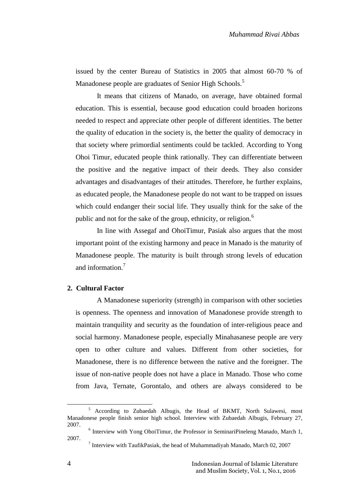issued by the center Bureau of Statistics in 2005 that almost 60-70 % of Manadonese people are graduates of Senior High Schools.<sup>5</sup>

It means that citizens of Manado, on average, have obtained formal education. This is essential, because good education could broaden horizons needed to respect and appreciate other people of different identities. The better the quality of education in the society is, the better the quality of democracy in that society where primordial sentiments could be tackled. According to Yong Ohoi Timur, educated people think rationally. They can differentiate between the positive and the negative impact of their deeds. They also consider advantages and disadvantages of their attitudes. Therefore, he further explains, as educated people, the Manadonese people do not want to be trapped on issues which could endanger their social life. They usually think for the sake of the public and not for the sake of the group, ethnicity, or religion.<sup>6</sup>

In line with Assegaf and OhoiTimur, Pasiak also argues that the most important point of the existing harmony and peace in Manado is the maturity of Manadonese people. The maturity is built through strong levels of education and information.<sup>7</sup>

# **2. Cultural Factor**

A Manadonese superiority (strength) in comparison with other societies is openness. The openness and innovation of Manadonese provide strength to maintain tranquility and security as the foundation of inter-religious peace and social harmony. Manadonese people, especially Minahasanese people are very open to other culture and values. Different from other societies, for Manadonese, there is no difference between the native and the foreigner. The issue of non-native people does not have a place in Manado. Those who come from Java, Ternate, Gorontalo, and others are always considered to be

<sup>5</sup> According to Zubaedah Albugis, the Head of BKMT, North Sulawesi, most Manadonese people finish senior high school. Interview with Zubaedah Albugis, February 27,

<sup>&</sup>lt;sup>6</sup> Interview with Yong OhoiTimur, the Professor in SeminariPineleng Manado, March 1, 2007.

 $<sup>7</sup>$  Interview with TaufikPasiak, the head of Muhammadiyah Manado, March 02, 2007</sup>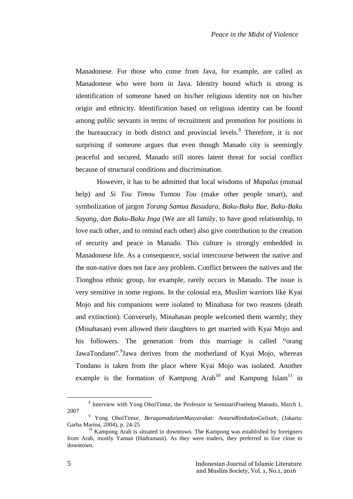Manadonese. For those who come from Java, for example, are called as Manadonese who were born in Java. Identity bound which is strong is identification of someone based on his/her religious identity not on his/her origin and ethnicity. Identification based on religious identity can be found among public servants in terms of recruitment and promotion for positions in the bureaucracy in both district and provincial levels.<sup>8</sup> Therefore, it is not surprising if someone argues that even though Manado city is seemingly peaceful and secured, Manado still stores latent threat for social conflict because of structural conditions and discrimination.

However, it has to be admitted that local wisdoms of *Mapalus* (mutual help) and *Si Tou Timou* Tumou *Tou* (make other people smart), and symbolization of jargon *Torang Samua Basudara, Baku-Baku Bae, Baku-Baku Sayang, dan Baku-Baku Inga* (We are all family, to have good relationship, to love each other, and to remind each other) also give contribution to the creation of security and peace in Manado. This culture is strongly embedded in Manadonese life. As a consequence, social intercourse between the native and the non-native does not face any problem. Conflict between the natives and the Tionghoa ethnic group, for example, rarely occurs in Manado. The issue is very sensitive in some regions. In the colonial era, Muslim warriors like Kyai Mojo and his companions were isolated to Minahasa for two reasons (death and extinction). Conversely, Minahasan people welcomed them warmly; they (Minahasan) even allowed their daughters to get married with Kyai Mojo and his followers. The generation from this marriage is called "orang JawaTondano".<sup>9</sup>Jawa derives from the motherland of Kyai Mojo, whereas Tondano is taken from the place where Kyai Mojo was isolated. Another example is the formation of Kampung Arab<sup>10</sup> and Kampung Islam<sup>11</sup> in

<sup>&</sup>lt;sup>8</sup> Interview with Yong OhoiTimur, the Professor in SeminariPineleng Manado, March 1, 2007

<sup>9</sup> Yong OhoiTimur, *BeragamadalamMasyarakat: AntaraRindudanGelisah*, (Jakarta: Garba Marina, 2004), p. 24-25

 $10$  Kampong Arab is situated in downtown. The Kampong was established by foreigners from Arab, mostly Yaman (Hadramaut). As they were traders, they preferred to live close to downtown.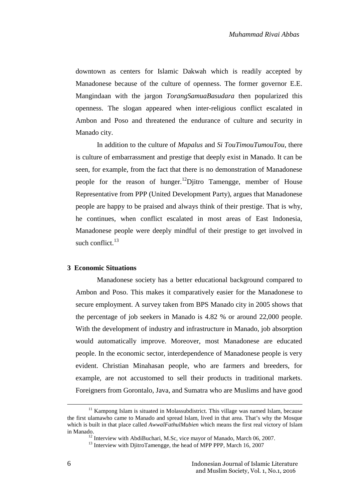downtown as centers for Islamic Dakwah which is readily accepted by Manadonese because of the culture of openness. The former governor E.E. Mangindaan with the jargon *TorangSamuaBasudara* then popularized this openness. The slogan appeared when inter-religious conflict escalated in Ambon and Poso and threatened the endurance of culture and security in Manado city.

In addition to the culture of *Mapalus* and *Si TouTimouTumouTou*, there is culture of embarrassment and prestige that deeply exist in Manado. It can be seen, for example, from the fact that there is no demonstration of Manadonese people for the reason of hunger.<sup>12</sup>Djitro Tamengge, member of House Representative from PPP (United Development Party), argues that Manadonese people are happy to be praised and always think of their prestige. That is why, he continues, when conflict escalated in most areas of East Indonesia, Manadonese people were deeply mindful of their prestige to get involved in such conflict. $13$ 

#### **3 Economic Situations**

Manadonese society has a better educational background compared to Ambon and Poso. This makes it comparatively easier for the Manadonese to secure employment. A survey taken from BPS Manado city in 2005 shows that the percentage of job seekers in Manado is 4.82 % or around 22,000 people. With the development of industry and infrastructure in Manado, job absorption would automatically improve. Moreover, most Manadonese are educated people. In the economic sector, interdependence of Manadonese people is very evident. Christian Minahasan people, who are farmers and breeders, for example, are not accustomed to sell their products in traditional markets. Foreigners from Gorontalo, Java, and Sumatra who are Muslims and have good

 $11$  Kampong Islam is situated in Molassubdistrict. This village was named Islam, because the first ulamawho came to Manado and spread Islam, lived in that area. That's why the Mosque which is built in that place called *AwwalFathulMubien* which means the first real victory of Islam in Manado.<br><sup>12</sup> Interview with AbdiBuchari, M.Sc, vice mayor of Manado, March 06, 2007.<br><sup>13</sup> Interview with DjitroTamengge, the head of MPP PPP, March 16, 2007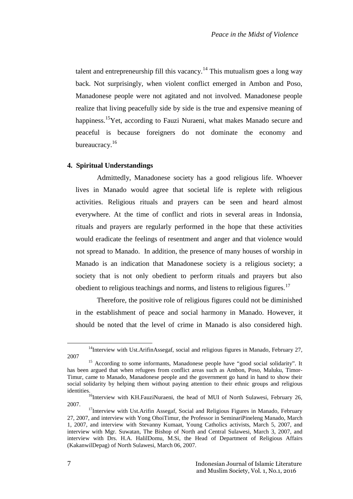talent and entrepreneurship fill this vacancy.<sup>14</sup> This mutualism goes a long way back. Not surprisingly, when violent conflict emerged in Ambon and Poso, Manadonese people were not agitated and not involved. Manadonese people realize that living peacefully side by side is the true and expensive meaning of happiness.<sup>15</sup>Yet, according to Fauzi Nuraeni, what makes Manado secure and peaceful is because foreigners do not dominate the economy and bureaucracy.<sup>16</sup>

## **4. Spiritual Understandings**

Admittedly, Manadonese society has a good religious life. Whoever lives in Manado would agree that societal life is replete with religious activities. Religious rituals and prayers can be seen and heard almost everywhere. At the time of conflict and riots in several areas in Indonsia, rituals and prayers are regularly performed in the hope that these activities would eradicate the feelings of resentment and anger and that violence would not spread to Manado. In addition, the presence of many houses of worship in Manado is an indication that Manadonese society is a religious society; a society that is not only obedient to perform rituals and prayers but also obedient to religious teachings and norms, and listens to religious figures.<sup>17</sup>

Therefore, the positive role of religious figures could not be diminished in the establishment of peace and social harmony in Manado. However, it should be noted that the level of crime in Manado is also considered high.

 $14$ Interview with Ust.ArifinAssegaf, social and religious figures in Manado, February 27, 2007

<sup>&</sup>lt;sup>15</sup> According to some informants, Manadonese people have "good social solidarity". It has been argued that when refugees from conflict areas such as Ambon, Poso, Maluku, Timor- Timur, came to Manado, Manadonese people and the government go hand in hand to show their social solidarity by helping them without paying attention to their ethnic groups and religious

identities.<br><sup>16</sup>Interview with KH.FauziNuraeni, the head of MUI of North Sulawesi, February 26,

<sup>&</sup>lt;sup>17</sup>Interview with Ust.Arifin Assegaf, Social and Religious Figures in Manado, February 27, 2007, and interview with Yong OhoiTimur, the Professor in SeminariPineleng Manado, March 1, 2007, and interview with Stevanny Kumaat, Young Catholics activists, March 5, 2007, and interview with Mgr. Suwatan, The Bishop of North and Central Sulawesi, March 3, 2007, and interview with Drs. H.A. HalilDomu, M.Si, the Head of Department of Religious Affairs (KakanwilDepag) of North Sulawesi, March 06, 2007.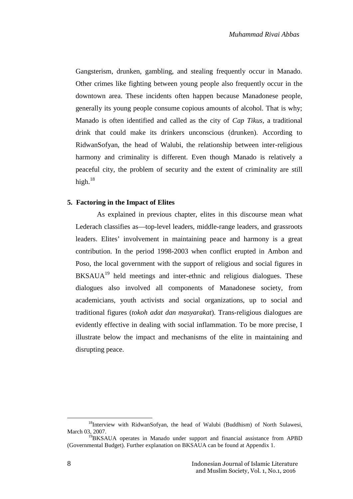Gangsterism, drunken, gambling, and stealing frequently occur in Manado. Other crimes like fighting between young people also frequently occur in the downtown area. These incidents often happen because Manadonese people, generally its young people consume copious amounts of alcohol. That is why; Manado is often identified and called as the city of *Cap Tikus,* a traditional drink that could make its drinkers unconscious (drunken). According to RidwanSofyan, the head of Walubi, the relationship between inter-religious harmony and criminality is different. Even though Manado is relatively a peaceful city, the problem of security and the extent of criminality are still high. $18$ 

#### **5. Factoring in the Impact of Elites**

As explained in previous chapter, elites in this discourse mean what Lederach classifies as—top-level leaders, middle-range leaders, and grassroots leaders. Elites' involvement in maintaining peace and harmony is a great contribution. In the period 1998-2003 when conflict erupted in Ambon and Poso, the local government with the support of religious and social figures in  $BKSAUA<sup>19</sup>$  held meetings and inter-ethnic and religious dialogues. These dialogues also involved all components of Manadonese society, from academicians, youth activists and social organizations, up to social and traditional figures (*tokoh adat dan masyarakat*). Trans-religious dialogues are evidently effective in dealing with social inflammation. To be more precise, I illustrate below the impact and mechanisms of the elite in maintaining and disrupting peace.

<sup>&</sup>lt;sup>18</sup>Interview with RidwanSofyan, the head of Walubi (Buddhism) of North Sulawesi, March 03, 2007.

<sup>&</sup>lt;sup>19</sup>BKSAUA operates in Manado under support and financial assistance from APBD (Governmental Budget). Further explanation on BKSAUA can be found at Appendix 1.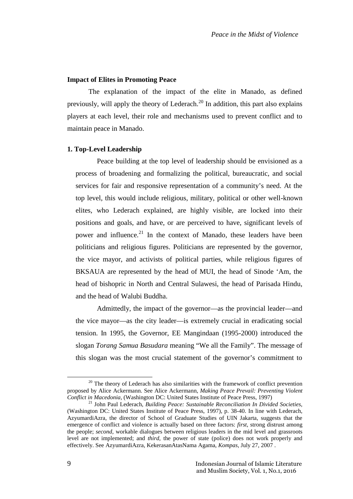#### **Impact of Elites in Promoting Peace**

The explanation of the impact of the elite in Manado, as defined previously, will apply the theory of Lederach.<sup>20</sup> In addition, this part also explains players at each level, their role and mechanisms used to prevent conflict and to maintain peace in Manado.

#### **1. Top-Level Leadership**

Peace building at the top level of leadership should be envisioned as a process of broadening and formalizing the political, bureaucratic, and social services for fair and responsive representation of a community's need. At the top level, this would include religious, military, political or other well-known elites, who Lederach explained, are highly visible, are locked into their positions and goals, and have, or are perceived to have, significant levels of power and influence.<sup>21</sup> In the context of Manado, these leaders have been politicians and religious figures. Politicians are represented by the governor, the vice mayor, and activists of political parties, while religious figures of BKSAUA are represented by the head of MUI, the head of Sinode 'Am, the head of bishopric in North and Central Sulawesi, the head of Parisada Hindu, and the head of Walubi Buddha.

Admittedly, the impact of the governor—as the provincial leader—and the vice mayor—as the city leader—is extremely crucial in eradicating social tension. In 1995, the Governor, EE Mangindaan (1995-2000) introduced the slogan *Torang Samua Basudara* meaning "We all the Family". The message of this slogan was the most crucial statement of the governor's commitment to

 $20$  The theory of Lederach has also similarities with the framework of conflict prevention proposed by Alice Ackermann. See Alice Ackermann, *Making Peace Prevail: Preventing Violent Conflict in Macedonia*, (Washington DC: United States Institute of Peace Press, 1997)

<sup>21</sup> John Paul Lederach, *Building Peace: Sustainable Reconciliation In Divided Societies*, (Washington DC: United States Institute of Peace Press, 1997), p. 38-40. In line with Lederach, AzyumardiAzra, the director of School of Graduate Studies of UIN Jakarta, suggests that the emergence of conflict and violence is actually based on three factors: *first*, strong distrust among the people; *second*, workable dialogues between religious leaders in the mid level and grassroots level are not implemented; and *third*, the power of state (police) does not work properly and effectively. See AzyumardiAzra, KekerasanAtasNama Agama, *Kompas*, July 27, 2007 .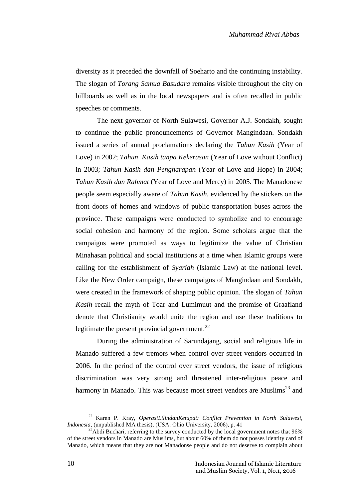diversity as it preceded the downfall of Soeharto and the continuing instability. The slogan of *Torang Samua Basudara* remains visible throughout the city on billboards as well as in the local newspapers and is often recalled in public speeches or comments.

The next governor of North Sulawesi, Governor A.J. Sondakh, sought to continue the public pronouncements of Governor Mangindaan. Sondakh issued a series of annual proclamations declaring the *Tahun Kasih* (Year of Love) in 2002; *Tahun Kasih tanpa Kekerasan* (Year of Love without Conflict) in 2003; *Tahun Kasih dan Pengharapan* (Year of Love and Hope) in 2004; *Tahun Kasih dan Rahmat* (Year of Love and Mercy) in 2005. The Manadonese people seem especially aware of *Tahun Kasih*, evidenced by the stickers on the front doors of homes and windows of public transportation buses across the province. These campaigns were conducted to symbolize and to encourage social cohesion and harmony of the region. Some scholars argue that the campaigns were promoted as ways to legitimize the value of Christian Minahasan political and social institutions at a time when Islamic groups were calling for the establishment of *Syariah* (Islamic Law) at the national level. Like the New Order campaign, these campaigns of Mangindaan and Sondakh, were created in the framework of shaping public opinion. The slogan of *Tahun Kasih* recall the myth of Toar and Lumimuut and the promise of Graafland denote that Christianity would unite the region and use these traditions to legitimate the present provincial government.<sup>22</sup>

During the administration of Sarundajang, social and religious life in Manado suffered a few tremors when control over street vendors occurred in 2006. In the period of the control over street vendors, the issue of religious discrimination was very strong and threatened inter-religious peace and harmony in Manado. This was because most street vendors are Muslims<sup>23</sup> and

<sup>22</sup> Karen P. Kray, *OperasiLilindanKetupat: Conflict Prevention in North Sulawesi, Indonesia*, (unpublished MA thesis), (USA: Ohio University, 2006), p. 41

 $^{23}$ Abdi Buchari, referring to the survey conducted by the local government notes that 96% of the street vendors in Manado are Muslims, but about 60% of them do not posses identity card of Manado, which means that they are not Manadonse people and do not deserve to complain about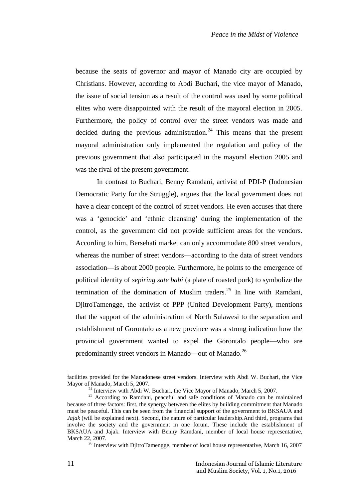because the seats of governor and mayor of Manado city are occupied by Christians. However, according to Abdi Buchari, the vice mayor of Manado, the issue of social tension as a result of the control was used by some political elites who were disappointed with the result of the mayoral election in 2005. Furthermore, the policy of control over the street vendors was made and decided during the previous administration.<sup>24</sup> This means that the present mayoral administration only implemented the regulation and policy of the previous government that also participated in the mayoral election 2005 and was the rival of the present government.

In contrast to Buchari, Benny Ramdani, activist of PDI-P (Indonesian Democratic Party for the Struggle), argues that the local government does not have a clear concept of the control of street vendors. He even accuses that there was a 'genocide' and 'ethnic cleansing' during the implementation of the control, as the government did not provide sufficient areas for the vendors. According to him, Bersehati market can only accommodate 800 street vendors, whereas the number of street vendors—according to the data of street vendors association—is about 2000 people. Furthermore, he points to the emergence of political identity of *sepiring sate babi* (a plate of roasted pork) to symbolize the termination of the domination of Muslim traders.<sup>25</sup> In line with Ramdani. DjitroTamengge, the activist of PPP (United Development Party), mentions that the support of the administration of North Sulawesi to the separation and establishment of Gorontalo as a new province was a strong indication how the provincial government wanted to expel the Gorontalo people—who are predominantly street vendors in Manado—out of Manado.<sup>26</sup>

facilities provided for the Manadonese street vendors. Interview with Abdi W. Buchari, the Vice

Mayor of Manado, March 5, 2007.<br><sup>24</sup> Interview with Abdi W. Buchari, the Vice Mayor of Manado, March 5, 2007.<br><sup>25</sup> According to Ramdani, peaceful and safe conditions of Manado can be maintained because of three factors: first, the synergy between the elites by building commitment that Manado must be peaceful. This can be seen from the financial support of the government to BKSAUA and *Jajak* (will be explained next). Second, the nature of particular leadership.And third, programs that involve the society and the government in one forum. These include the establishment of BKSAUA and Jajak. Interview with Benny Ramdani, member of local house representative, March 22, 2007.<br><sup>26</sup> Interview with DjitroTamengge, member of local house representative, March 16, 2007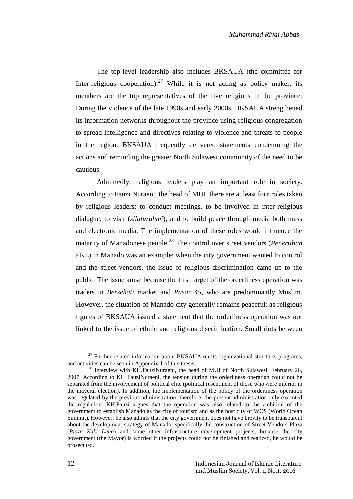The top-level leadership also includes BKSAUA (the committee for Inter-religious cooperation).<sup>27</sup> While it is not acting as policy maker, its members are the top representatives of the five religions in the province. During the violence of the late 1990s and early 2000s, BKSAUA strengthened its information networks throughout the province using religious congregation to spread intelligence and directives relating to violence and threats to people in the region. BKSAUA frequently delivered statements condemning the actions and reminding the greater North Sulawesi community of the need to be cautious.

Admittedly, religious leaders play an important role in society. According to Fauzi Nuraeni, the head of MUI, there are at least four roles taken by religious leaders: to conduct meetings, to be involved in inter-religious dialogue, to visit (*silaturahmi*), and to build peace through media both mass and electronic media. The implementation of these roles would influence the maturity of Manadonese people.<sup>28</sup> The control over street vendors (*Penertiban* PKL) in Manado was an example; when the city government wanted to control and the street vendors, the issue of religious discrimination came up to the public. The issue arose because the first target of the orderliness operation was traders in *Bersehati* market and *Pasar 45*, who are predominantly Muslim. However, the situation of Manado city generally remains peaceful; as religious figures of BKSAUA issued a statement that the orderliness operation was not linked to the issue of ethnic and religious discrimination. Small riots between

 $^{27}$  Further related information about BKSAUA on its organizational structure, programs, and activities can be seen in Appendix 1 of this thesis.

 $28$  Interview with KH.FauziNuraeni, the head of MUI of North Sulawesi, February 26, 2007. According to KH FauziNuraeni, the tension during the orderliness operation could not be separated from the involvement of political elite (political resentment of those who were inferior in the mayoral election). In addition, the implementation of the policy of the orderliness operation was regulated by the previous administration; therefore, the present administration only executed the regulation. KH.Fauzi argues that the operation was also related to the ambition of the government to establish Manado as the city of tourism and as the host city of WOS (World Ocean Summit). However, he also admits that the city government does not have brevity to be transparent about the development strategy of Manado, specifically the construction of Street Vendors Plaza (*Plaza Kaki Lima*) and some other infrastructure development projects, because the city government (the Mayor) is worried if the projects could not be finished and realized, he would be prosecuted.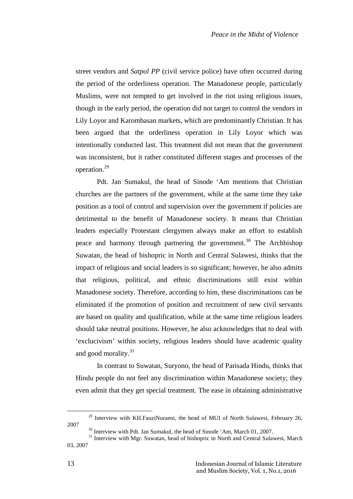street vendors and *Satpol PP* (civil service police) have often occurred during the period of the orderliness operation. The Manadonese people, particularly Muslims, were not tempted to get involved in the riot using religious issues, though in the early period, the operation did not target to control the vendors in Lily Loyor and Karombasan markets, which are predominantly Christian. It has been argued that the orderliness operation in Lily Loyor which was intentionally conducted last. This treatment did not mean that the government was inconsistent, but it rather constituted different stages and processes of the operation.<sup>29</sup>

Pdt. Jan Sumakul, the head of Sinode 'Am mentions that Christian churches are the partners of the government, while at the same time they take position as a tool of control and supervision over the government if policies are detrimental to the benefit of Manadonese society. It means that Christian leaders especially Protestant clergymen always make an effort to establish peace and harmony through partnering the government.<sup>30</sup> The Archbishop Suwatan, the head of bishopric in North and Central Sulawesi, thinks that the impact of religious and social leaders is so significant; however, he also admits that religious, political, and ethnic discriminations still exist within Manadonese society. Therefore, according to him, these discriminations can be eliminated if the promotion of position and recruitment of new civil servants are based on quality and qualification, while at the same time religious leaders should take neutral positions. However, he also acknowledges that to deal with 'exclucivism' within society, religious leaders should have academic quality and good morality.<sup>31</sup>

In contrast to Suwatan, Suryono, the head of Parisada Hindu, thinks that Hindu people do not feel any discrimination within Manadonese society; they even admit that they get special treatment. The ease in obtaining administrative

<sup>&</sup>lt;sup>29</sup> Interview with KH.FauziNuraeni, the head of MUI of North Sulawesi, February 26, <sup>30</sup> Interview with Pdt. Jan Sumakul, the head of Sinode 'Am, March 01, 2007.

 $31$  Interview with Mgr. Suwatan, head of bishopric in North and Central Sulawesi, March 03, 2007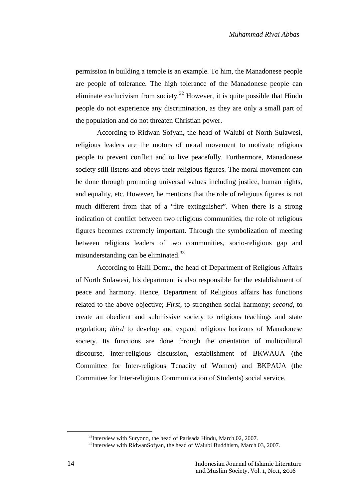permission in building a temple is an example. To him, the Manadonese people are people of tolerance. The high tolerance of the Manadonese people can eliminate exclucivism from society.<sup>32</sup> However, it is quite possible that Hindu people do not experience any discrimination, as they are only a small part of the population and do not threaten Christian power.

According to Ridwan Sofyan, the head of Walubi of North Sulawesi, religious leaders are the motors of moral movement to motivate religious people to prevent conflict and to live peacefully. Furthermore, Manadonese society still listens and obeys their religious figures. The moral movement can be done through promoting universal values including justice, human rights, and equality, etc. However, he mentions that the role of religious figures is not much different from that of a "fire extinguisher". When there is a strong indication of conflict between two religious communities, the role of religious figures becomes extremely important. Through the symbolization of meeting between religious leaders of two communities, socio-religious gap and misunderstanding can be eliminated.<sup>33</sup>

According to Halil Domu, the head of Department of Religious Affairs of North Sulawesi, his department is also responsible for the establishment of peace and harmony. Hence, Department of Religious affairs has functions related to the above objective; *First*, to strengthen social harmony; *second*, to create an obedient and submissive society to religious teachings and state regulation; *third* to develop and expand religious horizons of Manadonese society. Its functions are done through the orientation of multicultural discourse, inter-religious discussion, establishment of BKWAUA (the Committee for Inter-religious Tenacity of Women) and BKPAUA (the Committee for Inter-religious Communication of Students) social service.

 $32$ Interview with Suryono, the head of Parisada Hindu, March 02, 2007.<br> $33$ Interview with RidwanSofyan, the head of Walubi Buddhism, March 03, 2007.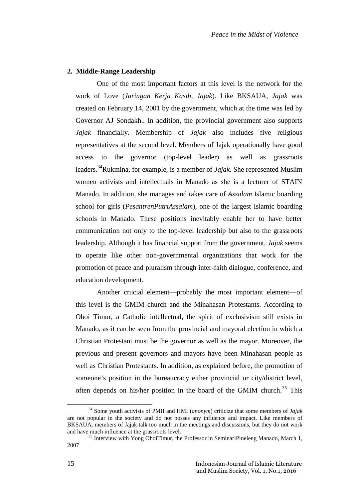### **2. Middle-Range Leadership**

One of the most important factors at this level is the network for the work of Love (*Jaringan Kerja Kasih, Jajak*). Like BKSAUA, *Jajak* was created on February 14, 2001 by the government, which at the time was led by Governor AJ Sondakh.. In addition, the provincial government also supports *Jajak* financially. Membership of *Jajak* also includes five religious representatives at the second level. Members of Jajak operationally have good access to the governor (top-level leader) as well as grassroots leaders.<sup>34</sup>Rukmina, for example, is a member of *Jajak*. She represented Muslim women activists and intellectuals in Manado as she is a lecturer of STAIN Manado. In addition, she manages and takes care of *Assalam* Islamic boarding school for girls (*PesantrenPutriAssalam*), one of the largest Islamic boarding schools in Manado. These positions inevitably enable her to have better communication not only to the top-level leadership but also to the grassroots leadership. Although it has financial support from the government, *Jajak* seems to operate like other non-governmental organizations that work for the promotion of peace and pluralism through inter-faith dialogue, conference, and education development.

Another crucial element—probably the most important element—of this level is the GMIM church and the Minahasan Protestants. According to Ohoi Timur, a Catholic intellectual, the spirit of exclusivism still exists in Manado, as it can be seen from the provincial and mayoral election in which a Christian Protestant must be the governor as well as the mayor. Moreover, the previous and present governors and mayors have been Minahasan people as well as Christian Protestants. In addition, as explained before, the promotion of someone's position in the bureaucracy either provincial or city/district level, often depends on his/her position in the board of the GMIM church.<sup>35</sup> This

<sup>34</sup> Some youth activists of PMII and HMI (*anonym*) criticize that some members of *Jajak* are not popular in the society and do not posses any influence and impact. Like members of BKSAUA, members of Jajak talk too much in the meetings and discussions, but they do not work and have much influence at the grassroots level.

 $35$  Interview with Yong OhoiTimur, the Professor in SeminariPineleng Manado, March 1, 2007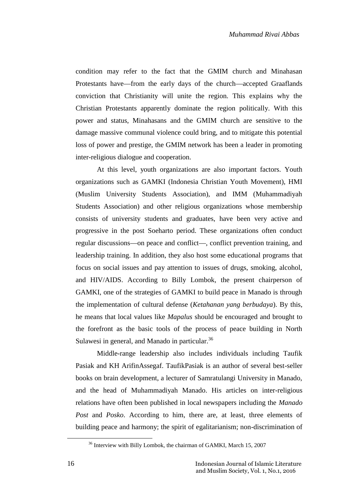condition may refer to the fact that the GMIM church and Minahasan Protestants have—from the early days of the church—accepted Graaflands conviction that Christianity will unite the region. This explains why the Christian Protestants apparently dominate the region politically. With this power and status, Minahasans and the GMIM church are sensitive to the damage massive communal violence could bring, and to mitigate this potential loss of power and prestige, the GMIM network has been a leader in promoting inter-religious dialogue and cooperation.

At this level, youth organizations are also important factors. Youth organizations such as GAMKI (Indonesia Christian Youth Movement), HMI (Muslim University Students Association), and IMM (Muhammadiyah Students Association) and other religious organizations whose membership consists of university students and graduates, have been very active and progressive in the post Soeharto period. These organizations often conduct regular discussions—on peace and conflict—, conflict prevention training, and leadership training. In addition, they also host some educational programs that focus on social issues and pay attention to issues of drugs, smoking, alcohol, and HIV/AIDS. According to Billy Lombok, the present chairperson of GAMKI, one of the strategies of GAMKI to build peace in Manado is through the implementation of cultural defense (*Ketahanan yang berbudaya*). By this, he means that local values like *Mapalus* should be encouraged and brought to the forefront as the basic tools of the process of peace building in North Sulawesi in general, and Manado in particular.<sup>36</sup>

Middle-range leadership also includes individuals including Taufik Pasiak and KH ArifinAssegaf. TaufikPasiak is an author of several best-seller books on brain development, a lecturer of Samratulangi University in Manado, and the head of Muhammadiyah Manado. His articles on inter-religious relations have often been published in local newspapers including the *Manado Post* and *Posko*. According to him, there are, at least, three elements of building peace and harmony; the spirit of egalitarianism; non-discrimination of

<sup>&</sup>lt;sup>36</sup> Interview with Billy Lombok, the chairman of GAMKI, March 15, 2007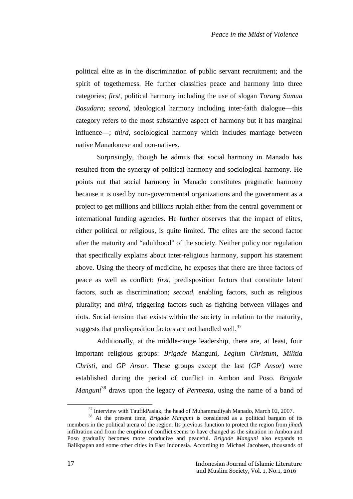political elite as in the discrimination of public servant recruitment; and the spirit of togetherness. He further classifies peace and harmony into three categories; *first*, political harmony including the use of slogan *Torang Samua Basudara*; *second*, ideological harmony including inter-faith dialogue—this category refers to the most substantive aspect of harmony but it has marginal influence—; *third*, sociological harmony which includes marriage between native Manadonese and non-natives.

Surprisingly, though he admits that social harmony in Manado has resulted from the synergy of political harmony and sociological harmony. He points out that social harmony in Manado constitutes pragmatic harmony because it is used by non-governmental organizations and the government as a project to get millions and billions rupiah either from the central government or international funding agencies. He further observes that the impact of elites, either political or religious, is quite limited. The elites are the second factor after the maturity and "adulthood" of the society. Neither policy nor regulation that specifically explains about inter-religious harmony, support his statement above. Using the theory of medicine, he exposes that there are three factors of peace as well as conflict: *first*, predisposition factors that constitute latent factors, such as discrimination; *second*, enabling factors, such as religious plurality; and *third*, triggering factors such as fighting between villages and riots. Social tension that exists within the society in relation to the maturity, suggests that predisposition factors are not handled well. $37$ 

Additionally, at the middle-range leadership, there are, at least, four important religious groups: *Brigade* Manguni*, Legium Christum, Militia Christi,* and *GP Ansor*. These groups except the last (*GP Ansor*) were established during the period of conflict in Ambon and Poso. *Brigade Manguni*<sup>38</sup> draws upon the legacy of *Permesta*, using the name of a band of

<sup>&</sup>lt;sup>37</sup> Interview with TaufikPasiak, the head of Muhammadiyah Manado, March 02, 2007.<br><sup>38</sup> At the present time, *Brigade Manguni* is considered as a political bargain of its members in the political arena of the region. Its previous function to protect the region from *jihadi* infiltration and from the eruption of conflict seems to have changed as the situation in Ambon and Poso gradually becomes more conducive and peaceful. *Brigade Manguni* also expands to Balikpapan and some other cities in East Indonesia. According to Michael Jacobsen, thousands of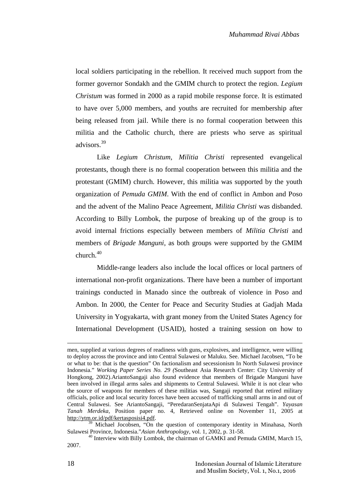local soldiers participating in the rebellion. It received much support from the former governor Sondakh and the GMIM church to protect the region. *Legium Christum* was formed in 2000 as a rapid mobile response force. It is estimated to have over 5,000 members, and youths are recruited for membership after being released from jail. While there is no formal cooperation between this militia and the Catholic church, there are priests who serve as spiritual advisors<sup>39</sup>

Like *Legium Christum*, *Militia Christi* represented evangelical protestants, though there is no formal cooperation between this militia and the protestant (GMIM) church. However, this militia was supported by the youth organization of *Pemuda GMIM*. With the end of conflict in Ambon and Poso and the advent of the Malino Peace Agreement, *Militia Christi* was disbanded. According to Billy Lombok, the purpose of breaking up of the group is to avoid internal frictions especially between members of *Militia Christi* and members of *Brigade Manguni*, as both groups were supported by the GMIM church.<sup>40</sup>

Middle-range leaders also include the local offices or local partners of international non-profit organizations. There have been a number of important trainings conducted in Manado since the outbreak of violence in Poso and Ambon. In 2000, the Center for Peace and Security Studies at Gadjah Mada University in Yogyakarta, with grant money from the United States Agency for International Development (USAID), hosted a training session on how to

men, supplied at various degrees of readiness with guns, explosives, and intelligence, were willing to deploy across the province and into Central Sulawesi or Maluku. See. Michael Jacobsen, "To be or what to be: that is the question" On factionalism and secessionism In North Sulawesi province Indonesia." *Working Paper Series No. 29 (*Southeast Asia Research Center: City University of Hongkong, 2002).AriantoSangaji also found evidence that members of Brigade Manguni have been involved in illegal arms sales and shipments to Central Sulawesi. While it is not clear who the source of weapons for members of these militias was, Sangaji reported that retired military officials, police and local security forces have been accused of trafficking small arms in and out of Central Sulawesi. See AriantoSangaji, "PeredaranSenjataApi di Sulawesi Tengah". *Yayasan Tanah Merdeka*, Position paper no. 4, Retrieved online on November 11, 2005 at http://ytm.or.id/pdf/kertasposisi4.pdf.

<sup>&</sup>lt;sup>39</sup> Michael Jocobsen, "On the question of contemporary identity in Minahasa, North Sulawesi Province, Indonesia."Asian Anthropology, vol. 1, 2002, p. 31-58.

<sup>&</sup>lt;sup>40</sup> Interview with Billy Lombok, the chairman of GAMKI and Pemuda GMIM, March 15, 2007.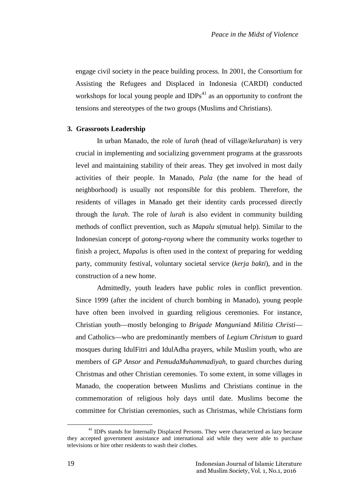engage civil society in the peace building process. In 2001, the Consortium for Assisting the Refugees and Displaced in Indonesia (CARDI) conducted workshops for local young people and  $IDPs<sup>41</sup>$  as an opportunity to confront the tensions and stereotypes of the two groups (Muslims and Christians).

## **3. Grassroots Leadership**

In urban Manado, the role of *lurah* (head of village/*kelurahan*) is very crucial in implementing and socializing government programs at the grassroots level and maintaining stability of their areas. They get involved in most daily activities of their people. In Manado, *Pala* (the name for the head of neighborhood) is usually not responsible for this problem. Therefore, the residents of villages in Manado get their identity cards processed directly through the *lurah*. The role of *lurah* is also evident in community building methods of conflict prevention, such as *Mapalu s*(mutual help). Similar to the Indonesian concept of *gotong-royong* where the community works together to finish a project, *Mapalus* is often used in the context of preparing for wedding party, community festival, voluntary societal service (*kerja bakti*), and in the construction of a new home.

Admittedly, youth leaders have public roles in conflict prevention. Since 1999 (after the incident of church bombing in Manado), young people have often been involved in guarding religious ceremonies. For instance, Christian youth—mostly belonging to *Brigade Manguni*and *Militia Christi* and Catholics—who are predominantly members of *Legium Christum* to guard mosques during IdulFitri and IdulAdha prayers, while Muslim youth, who are members of *GP Ansor* and *PemudaMuhammadiyah*, to guard churches during Christmas and other Christian ceremonies. To some extent, in some villages in Manado, the cooperation between Muslims and Christians continue in the commemoration of religious holy days until date. Muslims become the committee for Christian ceremonies, such as Christmas, while Christians form

<sup>&</sup>lt;sup>41</sup> IDPs stands for Internally Displaced Persons. They were characterized as lazy because they accepted government assistance and international aid while they were able to purchase televisions or hire other residents to wash their clothes.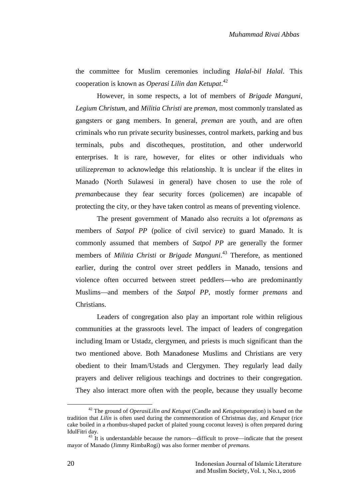the committee for Muslim ceremonies including *Halal-bil Halal*. This cooperation is known as *Operasi Lilin dan Ketupat*.<sup>42</sup>

However, in some respects, a lot of members of *Brigade Manguni*, *Legium Christum*, and *Militia Christi* are *preman*, most commonly translated as gangsters or gang members. In general, *preman* are youth, and are often criminals who run private security businesses, control markets, parking and bus terminals, pubs and discotheques, prostitution, and other underworld enterprises. It is rare, however, for elites or other individuals who utilize*preman* to acknowledge this relationship. It is unclear if the elites in Manado (North Sulawesi in general) have chosen to use the role of *preman*because they fear security forces (policemen) are incapable of protecting the city, or they have taken control as means of preventing violence.

The present government of Manado also recruits a lot of*premans* as members of *Satpol PP* (police of civil service) to guard Manado. It is commonly assumed that members of *Satpol PP* are generally the former members of *Militia Christi* or *Brigade Manguni*<sup>43</sup> Therefore, as mentioned earlier, during the control over street peddlers in Manado, tensions and violence often occurred between street peddlers—who are predominantly Muslims—and members of the *Satpol PP*, mostly former *premans* and Christians.

Leaders of congregation also play an important role within religious communities at the grassroots level. The impact of leaders of congregation including Imam or Ustadz, clergymen, and priests is much significant than the two mentioned above. Both Manadonese Muslims and Christians are very obedient to their Imam/Ustads and Clergymen. They regularly lead daily prayers and deliver religious teachings and doctrines to their congregation. They also interact more often with the people, because they usually become

<sup>42</sup> The ground of *OperasiLilin and Ketupat* (Candle and *Ketupat*operation) is based on the tradition that *Lilin* is often used during the commemoration of Christmas day, and *Ketupat* (rice cake boiled in a rhombus-shaped packet of plaited young coconut leaves) is often prepared during IdulFitri day.<br><sup>43</sup> It is understandable because the rumors—difficult to prove—indicate that the present

mayor of Manado (Jimmy RimbaRogi) was also former member of *premans.*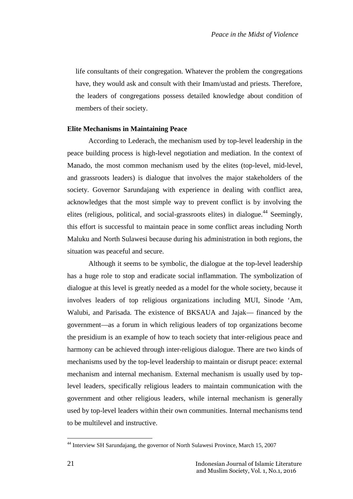life consultants of their congregation. Whatever the problem the congregations have, they would ask and consult with their Imam/ustad and priests. Therefore, the leaders of congregations possess detailed knowledge about condition of members of their society.

### **Elite Mechanisms in Maintaining Peace**

According to Lederach, the mechanism used by top-level leadership in the peace building process is high-level negotiation and mediation. In the context of Manado, the most common mechanism used by the elites (top-level, mid-level, and grassroots leaders) is dialogue that involves the major stakeholders of the society. Governor Sarundajang with experience in dealing with conflict area, acknowledges that the most simple way to prevent conflict is by involving the elites (religious, political, and social-grassroots elites) in dialogue.<sup>44</sup> Seemingly, this effort is successful to maintain peace in some conflict areas including North Maluku and North Sulawesi because during his administration in both regions, the situation was peaceful and secure.

Although it seems to be symbolic, the dialogue at the top-level leadership has a huge role to stop and eradicate social inflammation. The symbolization of dialogue at this level is greatly needed as a model for the whole society, because it involves leaders of top religious organizations including MUI, Sinode 'Am, Walubi, and Parisada. The existence of BKSAUA and Jajak— financed by the government—as a forum in which religious leaders of top organizations become the presidium is an example of how to teach society that inter-religious peace and harmony can be achieved through inter-religious dialogue. There are two kinds of mechanisms used by the top-level leadership to maintain or disrupt peace: external mechanism and internal mechanism. External mechanism is usually used by toplevel leaders, specifically religious leaders to maintain communication with the government and other religious leaders, while internal mechanism is generally used by top-level leaders within their own communities. Internal mechanisms tend to be multilevel and instructive.

<sup>44</sup> Interview SH Sarundajang, the governor of North Sulawesi Province, March 15, 2007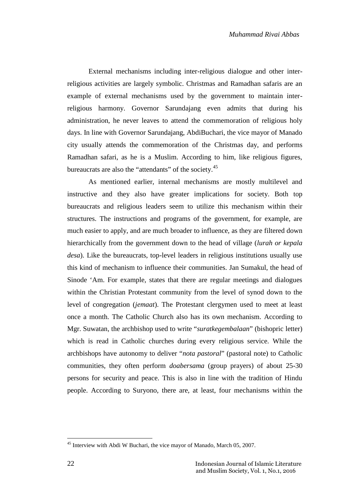External mechanisms including inter-religious dialogue and other interreligious activities are largely symbolic. Christmas and Ramadhan safaris are an example of external mechanisms used by the government to maintain interreligious harmony. Governor Sarundajang even admits that during his administration, he never leaves to attend the commemoration of religious holy days. In line with Governor Sarundajang, AbdiBuchari, the vice mayor of Manado city usually attends the commemoration of the Christmas day, and performs Ramadhan safari, as he is a Muslim. According to him, like religious figures, bureaucrats are also the "attendants" of the society.<sup>45</sup>

As mentioned earlier, internal mechanisms are mostly multilevel and instructive and they also have greater implications for society. Both top bureaucrats and religious leaders seem to utilize this mechanism within their structures. The instructions and programs of the government, for example, are much easier to apply, and are much broader to influence, as they are filtered down hierarchically from the government down to the head of village (*lurah or kepala desa*). Like the bureaucrats, top-level leaders in religious institutions usually use this kind of mechanism to influence their communities. Jan Sumakul, the head of Sinode 'Am. For example, states that there are regular meetings and dialogues within the Christian Protestant community from the level of synod down to the level of congregation (*jemaat*). The Protestant clergymen used to meet at least once a month. The Catholic Church also has its own mechanism. According to Mgr. Suwatan, the archbishop used to write "*suratkegembalaan*" (bishopric letter) which is read in Catholic churches during every religious service. While the archbishops have autonomy to deliver "*nota pastoral*" (pastoral note) to Catholic communities, they often perform *doabersama* (group prayers) of about 25-30 persons for security and peace. This is also in line with the tradition of Hindu people. According to Suryono, there are, at least, four mechanisms within the

 $45$  Interview with Abdi W Buchari, the vice mayor of Manado, March 05, 2007.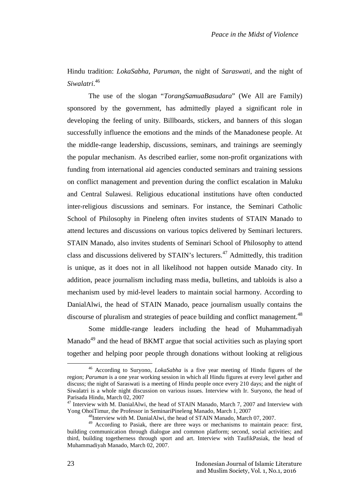Hindu tradition: *LokaSabha*, *Paruman*, the night of *Saraswati*, and the night of *Siwalatri*.<sup>46</sup>

The use of the slogan "*TorangSamuaBasudara*" (We All are Family) sponsored by the government, has admittedly played a significant role in developing the feeling of unity. Billboards, stickers, and banners of this slogan successfully influence the emotions and the minds of the Manadonese people. At the middle-range leadership, discussions, seminars, and trainings are seemingly the popular mechanism. As described earlier, some non-profit organizations with funding from international aid agencies conducted seminars and training sessions on conflict management and prevention during the conflict escalation in Maluku and Central Sulawesi. Religious educational institutions have often conducted inter-religious discussions and seminars. For instance, the Seminari Catholic School of Philosophy in Pineleng often invites students of STAIN Manado to attend lectures and discussions on various topics delivered by Seminari lecturers. STAIN Manado, also invites students of Seminari School of Philosophy to attend class and discussions delivered by STAIN's lecturers.<sup>47</sup> Admittedly, this tradition is unique, as it does not in all likelihood not happen outside Manado city. In addition, peace journalism including mass media, bulletins, and tabloids is also a mechanism used by mid-level leaders to maintain social harmony. According to DanialAlwi, the head of STAIN Manado, peace journalism usually contains the discourse of pluralism and strategies of peace building and conflict management.<sup>48</sup>

Some middle-range leaders including the head of Muhammadiyah Manado<sup>49</sup> and the head of BKMT argue that social activities such as playing sport together and helping poor people through donations without looking at religious

<sup>46</sup> According to Suryono, *LokaSabha* is a five year meeting of Hindu figures of the region; *Paruman* is a one year working session in which all Hindu figures at every level gather and discuss; the night of Saraswati is a meeting of Hindu people once every 210 days; and the night of Siwalatri is a whole night discussion on various issues. Interview with Ir. Suryono, the head of Parisada Hindu, March 02, 2007

<sup>&</sup>lt;sup>47</sup> Interview with M. DanialAlwi, the head of STAIN Manado, March 7, 2007 and Interview with Yong OhoiTimur, the Professor in SeminariPineleng Manado, March 1, 2007

<sup>48</sup>Interview with M. DanialAlwi, the head of STAIN Manado, March 07, 2007.

<sup>49</sup> According to Pasiak, there are three ways or mechanisms to maintain peace: first, building communication through dialogue and common platform; second, social activities; and third, building togetherness through sport and art. Interview with TaufikPasiak, the head of Muhammadiyah Manado, March 02, 2007.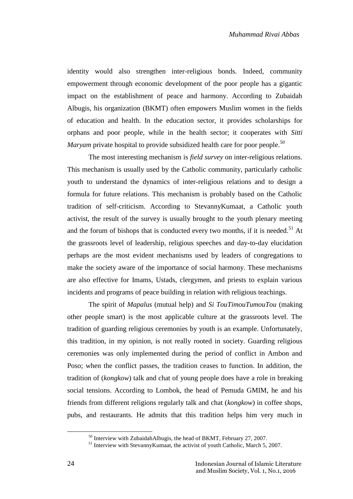identity would also strengthen inter-religious bonds. Indeed, community empowerment through economic development of the poor people has a gigantic impact on the establishment of peace and harmony. According to Zubaidah Albugis, his organization (BKMT) often empowers Muslim women in the fields of education and health. In the education sector, it provides scholarships for orphans and poor people, while in the health sector; it cooperates with *Sitti Maryam* private hospital to provide subsidized health care for poor people.<sup>50</sup>

The most interesting mechanism is *field survey* on inter-religious relations. This mechanism is usually used by the Catholic community, particularly catholic youth to understand the dynamics of inter-religious relations and to design a formula for future relations. This mechanism is probably based on the Catholic tradition of self-criticism. According to StevannyKumaat, a Catholic youth activist, the result of the survey is usually brought to the youth plenary meeting and the forum of bishops that is conducted every two months, if it is needed.<sup>51</sup> At the grassroots level of leadership, religious speeches and day-to-day elucidation perhaps are the most evident mechanisms used by leaders of congregations to make the society aware of the importance of social harmony. These mechanisms are also effective for Imams, Ustads, clergymen, and priests to explain various incidents and programs of peace building in relation with religious teachings.

The spirit of *Mapalus* (mutual help) and *Si TouTimouTumouTou* (making other people smart) is the most applicable culture at the grassroots level. The tradition of guarding religious ceremonies by youth is an example. Unfortunately, this tradition, in my opinion, is not really rooted in society. Guarding religious ceremonies was only implemented during the period of conflict in Ambon and Poso; when the conflict passes, the tradition ceases to function. In addition, the tradition of (*kongkow*) talk and chat of young people does have a role in breaking social tensions. According to Lombok, the head of Pemuda GMIM, he and his friends from different religions regularly talk and chat (*kongkow*) in coffee shops, pubs, and restaurants. He admits that this tradition helps him very much in

<sup>&</sup>lt;sup>50</sup> Interview with ZubaidahAlbugis, the head of BKMT, February 27, 2007.<br><sup>51</sup> Interview with StevannyKumaat, the activist of youth Catholic, March 5, 2007.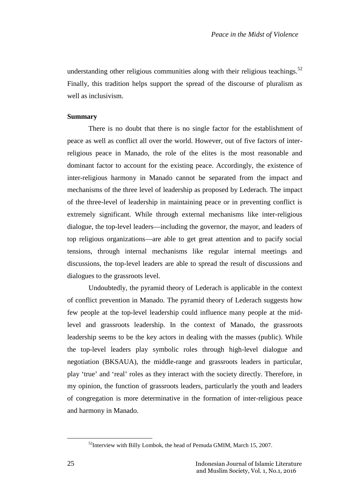understanding other religious communities along with their religious teachings.<sup>52</sup> Finally, this tradition helps support the spread of the discourse of pluralism as well as inclusivism.

### **Summary**

There is no doubt that there is no single factor for the establishment of peace as well as conflict all over the world. However, out of five factors of interreligious peace in Manado, the role of the elites is the most reasonable and dominant factor to account for the existing peace. Accordingly, the existence of inter-religious harmony in Manado cannot be separated from the impact and mechanisms of the three level of leadership as proposed by Lederach. The impact of the three-level of leadership in maintaining peace or in preventing conflict is extremely significant. While through external mechanisms like inter-religious dialogue, the top-level leaders—including the governor, the mayor, and leaders of top religious organizations—are able to get great attention and to pacify social tensions, through internal mechanisms like regular internal meetings and discussions, the top-level leaders are able to spread the result of discussions and dialogues to the grassroots level.

Undoubtedly, the pyramid theory of Lederach is applicable in the context of conflict prevention in Manado. The pyramid theory of Lederach suggests how few people at the top-level leadership could influence many people at the midlevel and grassroots leadership. In the context of Manado, the grassroots leadership seems to be the key actors in dealing with the masses (public). While the top-level leaders play symbolic roles through high-level dialogue and negotiation (BKSAUA), the middle-range and grassroots leaders in particular, play 'true' and 'real' roles as they interact with the society directly. Therefore, in my opinion, the function of grassroots leaders, particularly the youth and leaders of congregation is more determinative in the formation of inter-religious peace and harmony in Manado.

 $52$ Interview with Billy Lombok, the head of Pemuda GMIM, March 15, 2007.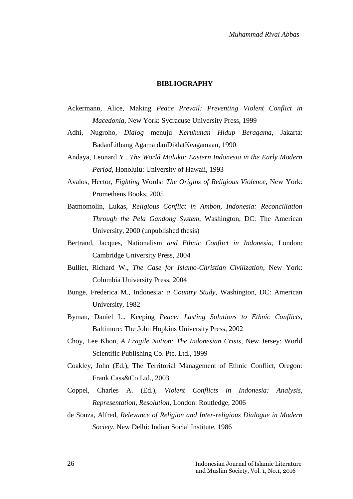# **BIBLIOGRAPHY**

- Ackermann, Alice, Making *Peace Prevail: Preventing Violent Conflict in Macedonia*, New York: Sycracuse University Press, 1999
- Adhi, Nugroho, *Dialog* menuju *Kerukunan Hidup Beragama*, Jakarta: BadanLitbang Agama danDiklatKeagamaan, 1990
- Andaya, Leonard Y., *The World Maluku: Eastern Indonesia in the Early Modern Period*, Honolulu: University of Hawaii, 1993
- Avalos, Hector, *Fighting* Words*: The Origins of Religious Violence*, New York: Prometheus Books, 2005
- Batmomolin, Lukas, *Religious Conflict in Ambon, Indonesia: Reconciliation Through the Pela Gandong System*, Washington, DC: The American University, 2000 (unpublished thesis)
- Bertrand, Jacques, Nationalism *and Ethnic Conflict in Indonesia*, London: Cambridge University Press, 2004
- Bulliet, Richard W., *The Case for Islamo-Christian Civilization*, New York: Columbia University Press, 2004
- Bunge, Frederica M., Indonesia*: a Country Study*, Washington, DC: American University, 1982
- Byman, Daniel L., Keeping *Peace: Lasting Solutions to Ethnic Conflicts*, Baltimore: The John Hopkins University Press, 2002
- Choy, Lee Khon, *A Fragile Nation: The Indonesian Crisis*, New Jersey: World Scientific Publishing Co. Pte. Ltd., 1999
- Coakley, John (Ed.), The Territorial Management of Ethnic Conflict, Oregon: Frank Cass&Co Ltd., 2003
- Coppel, Charles A. (Ed.), *Violent Conflicts in Indonesia: Analysis, Representation, Resolution*, London: Routledge, 2006
- de Souza, Alfred, *Relevance of Religion and Inter-religious Dialogue in Modern Society*, New Delhi: Indian Social Institute, 1986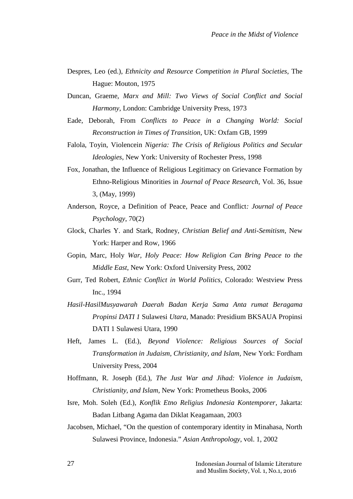- Despres, Leo (ed.), *Ethnicity and Resource Competition in Plural Societies*, The Hague: Mouton, 1975
- Duncan, Graeme, *Marx and Mill: Two Views of Social Conflict and Social Harmony*, London: Cambridge University Press, 1973
- Eade, Deborah, From *Conflicts to Peace in a Changing World: Social Reconstruction in Times of Transition*, UK: Oxfam GB, 1999
- Falola, Toyin, Violencein *Nigeria: The Crisis of Religious Politics and Secular Ideologies*, New York: University of Rochester Press, 1998
- Fox, Jonathan, the Influence of Religious Legitimacy on Grievance Formation by Ethno-Religious Minorities in *Journal of Peace Research*, Vol. 36, Issue 3, (May, 1999)
- Anderson, Royce, a Definition of Peace, Peace and Conflict*: Journal of Peace Psychology*, 70(2)
- Glock, Charles Y. and Stark, Rodney, *Christian Belief and Anti-Semitism*, New York: Harper and Row, 1966
- Gopin, Marc, Holy *War, Holy Peace: How Religion Can Bring Peace to the Middle East*, New York: Oxford University Press, 2002
- Gurr, Ted Robert, *Ethnic Conflict in World Politics*, Colorado: Westview Press Inc., 1994
- *Hasil-HasilMusyawarah Daerah Badan Kerja Sama Anta rumat Beragama Propinsi DATI 1* Sulawesi *Utara*, Manado: Presidium BKSAUA Propinsi DATI 1 Sulawesi Utara, 1990
- Heft, James L. (Ed.), *Beyond Violence: Religious Sources of Social Transformation in Judaism, Christianity, and Islam*, New York: Fordham University Press, 2004
- Hoffmann, R. Joseph (Ed.), *The Just War and Jihad: Violence in Judaism, Christianity, and Islam*, New York: Prometheus Books, 2006
- Isre, Moh. Soleh (Ed.), *Konflik Etno Religius Indonesia Kontemporer*, Jakarta: Badan Litbang Agama dan Diklat Keagamaan, 2003
- Jacobsen, Michael, "On the question of contemporary identity in Minahasa, North Sulawesi Province, Indonesia." *Asian Anthropology*, vol. 1, 2002